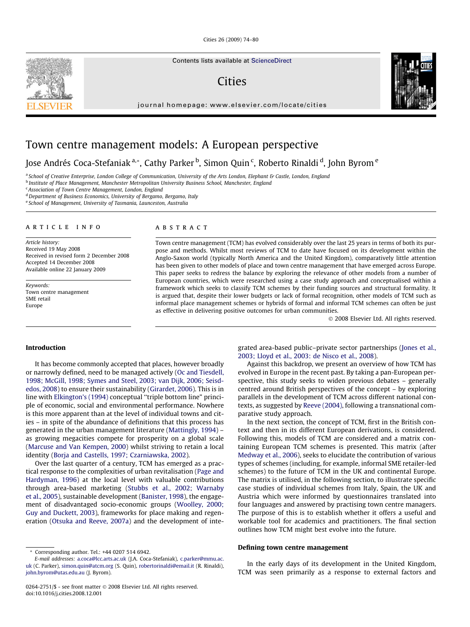Cities 26 (2009) 74–80

Contents lists available at [ScienceDirect](http://www.sciencedirect.com/science/journal/02642751)

# Cities

journal homepage: [www.elsevier.com/locate/cities](http://www.elsevier.com/locate/cities)



# Town centre management models: A European perspective

## Jose Andrés Coca-Stefaniak <sup>a,</sup>\*, Cathy Parker <sup>b</sup>, Simon Quin <sup>c</sup>, Roberto Rinaldi <sup>d</sup>, John Byrom <sup>e</sup>

a School of Creative Enterprise, London College of Communication, University of the Arts London. Elephant & Castle, London. England

<sup>b</sup> Institute of Place Management, Manchester Metropolitan University Business School, Manchester, England

<sup>c</sup> Association of Town Centre Management, London, England

<sup>d</sup> Department of Business Economics, University of Bergamo, Bergamo, Italy

e School of Management, University of Tasmania, Launceston, Australia

#### article info

Article history: Received 19 May 2008 Received in revised form 2 December 2008 Accepted 14 December 2008 Available online 22 January 2009

Keywords: Town centre management SME retail Europe

## ABSTRACT

Town centre management (TCM) has evolved considerably over the last 25 years in terms of both its purpose and methods. Whilst most reviews of TCM to date have focused on its development within the Anglo-Saxon world (typically North America and the United Kingdom), comparatively little attention has been given to other models of place and town centre management that have emerged across Europe. This paper seeks to redress the balance by exploring the relevance of other models from a number of European countries, which were researched using a case study approach and conceptualised within a framework which seeks to classify TCM schemes by their funding sources and structural formality. It is argued that, despite their lower budgets or lack of formal recognition, other models of TCM such as informal place management schemes or hybrids of formal and informal TCM schemes can often be just as effective in delivering positive outcomes for urban communities.

- 2008 Elsevier Ltd. All rights reserved.

## Introduction

It has become commonly accepted that places, however broadly or narrowly defined, need to be managed actively ([Oc and Tiesdell,](#page--1-0) [1998; McGill, 1998; Symes and Steel, 2003; van Dijk, 2006; Seisd](#page--1-0)[edos, 2008\)](#page--1-0) to ensure their sustainability [\(Girardet, 2006](#page--1-0)). This is in line with [Elkington's \(1994\)](#page--1-0) conceptual ''triple bottom line" principle of economic, social and environmental performance. Nowhere is this more apparent than at the level of individual towns and cities – in spite of the abundance of definitions that this process has generated in the urban management literature ([Mattingly, 1994\)](#page--1-0) – as growing megacities compete for prosperity on a global scale ([Marcuse and Van Kempen, 2000\)](#page--1-0) whilst striving to retain a local identity [\(Borja and Castells, 1997; Czarniawska, 2002\)](#page--1-0).

Over the last quarter of a century, TCM has emerged as a practical response to the complexities of urban revitalisation [\(Page and](#page--1-0) [Hardyman, 1996](#page--1-0)) at the local level with valuable contributions through area-based marketing [\(Stubbs et al., 2002; Warnaby](#page--1-0) [et al., 2005](#page--1-0)), sustainable development [\(Banister, 1998\)](#page--1-0), the engagement of disadvantaged socio-economic groups [\(Woolley, 2000;](#page--1-0) [Guy and Duckett, 2003](#page--1-0)), frameworks for place making and regeneration ([Otsuka and Reeve, 2007a](#page--1-0)) and the development of integrated area-based public–private sector partnerships [\(Jones et al.,](#page--1-0) [2003; Lloyd et al., 2003: de Nisco et al., 2008](#page--1-0)).

Against this backdrop, we present an overview of how TCM has evolved in Europe in the recent past. By taking a pan-European perspective, this study seeks to widen previous debates – generally centred around British perspectives of the concept – by exploring parallels in the development of TCM across different national contexts, as suggested by [Reeve \(2004\),](#page--1-0) following a transnational comparative study approach.

In the next section, the concept of TCM, first in the British context and then in its different European derivations, is considered. Following this, models of TCM are considered and a matrix containing European TCM schemes is presented. This matrix (after [Medway et al., 2006](#page--1-0)), seeks to elucidate the contribution of various types of schemes (including, for example, informal SME retailer-led schemes) to the future of TCM in the UK and continental Europe. The matrix is utilised, in the following section, to illustrate specific case studies of individual schemes from Italy, Spain, the UK and Austria which were informed by questionnaires translated into four languages and answered by practising town centre managers. The purpose of this is to establish whether it offers a useful and workable tool for academics and practitioners. The final section outlines how TCM might best evolve into the future.

### Defining town centre management

In the early days of its development in the United Kingdom, TCM was seen primarily as a response to external factors and



Corresponding author. Tel.: +44 0207 514 6942.

E-mail addresses: [a.coca@lcc.arts.ac.uk](mailto:a.coca@lcc.arts.ac.uk) (J.A. Coca-Stefaniak), [c.parker@mmu.ac.](mailto:c.parker@mmu.ac.uk) [uk](mailto:c.parker@mmu.ac.uk) (C. Parker), [simon.quin@atcm.org](mailto:simon.quin@atcm.org) (S. Quin), [robertorinaldi@email.it](mailto:robertorinaldi@email.it) (R. Rinaldi), [john.byrom@utas.edu.au](mailto:john.byrom@utas.edu.au) (J. Byrom).

<sup>0264-2751/\$ -</sup> see front matter © 2008 Elsevier Ltd. All rights reserved. doi:10.1016/j.cities.2008.12.001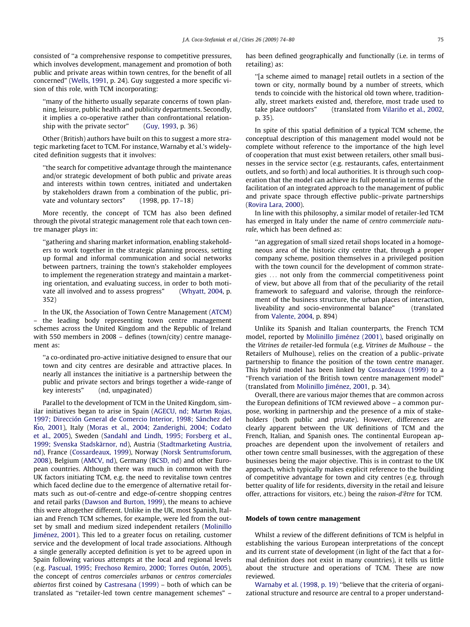consisted of ''a comprehensive response to competitive pressures, which involves development, management and promotion of both public and private areas within town centres, for the benefit of all concerned" ([Wells, 1991](#page--1-0), p. 24). Guy suggested a more specific vision of this role, with TCM incorporating:

''many of the hitherto usually separate concerns of town planning, leisure, public health and publicity departments. Secondly, it implies a co-operative rather than confrontational relationship with the private sector" ([Guy, 1993,](#page--1-0) p. 36)

Other (British) authors have built on this to suggest a more strategic marketing facet to TCM. For instance, Warnaby et al.'s widelycited definition suggests that it involves:

''the search for competitive advantage through the maintenance and/or strategic development of both public and private areas and interests within town centres, initiated and undertaken by stakeholders drawn from a combination of the public, private and voluntary sectors" (1998, pp. 17–18)

More recently, the concept of TCM has also been defined through the pivotal strategic management role that each town centre manager plays in:

''gathering and sharing market information, enabling stakeholders to work together in the strategic planning process, setting up formal and informal communication and social networks between partners, training the town's stakeholder employees to implement the regeneration strategy and maintain a marketing orientation, and evaluating success, in order to both motivate all involved and to assess progress" [\(Whyatt, 2004](#page--1-0), p. 352)

In the UK, the Association of Town Centre Management [\(ATCM\)](#page--1-0) – the leading body representing town centre management schemes across the United Kingdom and the Republic of Ireland with 550 members in 2008 – defines (town/city) centre management as:

''a co-ordinated pro-active initiative designed to ensure that our town and city centres are desirable and attractive places. In nearly all instances the initiative is a partnership between the public and private sectors and brings together a wide-range of key interests" (nd, unpaginated)

Parallel to the development of TCM in the United Kingdom, sim-ilar initiatives began to arise in Spain [\(AGECU, nd; Mart](#page--1-0)ı[n Rojas,](#page--1-0) [1997; Dirección General de Comercio Interior, 1998; Sánchez del](#page--1-0) Ri[o, 2001\)](#page--1-0), Italy [\(Moras et al., 2004; Zanderighi, 2004; Codato](#page--1-0) [et al., 2005\)](#page--1-0), Sweden ([Sandahl and Lindh, 1995; Forsberg et al.,](#page--1-0) [1999; Svenska Stadskärnor, nd](#page--1-0)), Austria [\(Stadtmarketing Austria,](#page--1-0) [nd](#page--1-0)), France ([Cossardeaux, 1999](#page--1-0)), Norway [\(Norsk Sentrumsforum,](#page--1-0) [2008](#page--1-0)), Belgium [\(AMCV, nd](#page--1-0)), Germany [\(BCSD, nd\)](#page--1-0) and other European countries. Although there was much in common with the UK factors initiating TCM, e.g. the need to revitalise town centres which faced decline due to the emergence of alternative retail formats such as out-of-centre and edge-of-centre shopping centres and retail parks [\(Dawson and Burton, 1999\)](#page--1-0), the means to achieve this were altogether different. Unlike in the UK, most Spanish, Italian and French TCM schemes, for example, were led from the outset by small and medium sized independent retailers [\(Molinillo](#page--1-0) [Jiménez, 2001](#page--1-0)). This led to a greater focus on retailing, customer service and the development of local trade associations. Although a single generally accepted definition is yet to be agreed upon in Spain following various attempts at the local and regional levels (e.g. [Pascual, 1995; Frechoso Remiro, 2000; Torres Outón, 2005\)](#page--1-0), the concept of centros comerciales urbanos or centros comerciales abiertos first coined by [Castresana \(1999\)](#page--1-0) – both of which can be translated as ''retailer-led town centre management schemes" –

has been defined geographically and functionally (i.e. in terms of retailing) as:

''[a scheme aimed to manage] retail outlets in a section of the town or city, normally bound by a number of streets, which tends to coincide with the historical old town where, traditionally, street markets existed and, therefore, most trade used to take place outdoors" (translated from [Vilariño et al., 2002,](#page--1-0) p. 35).

In spite of this spatial definition of a typical TCM scheme, the conceptual description of this management model would not be complete without reference to the importance of the high level of cooperation that must exist between retailers, other small businesses in the service sector (e.g. restaurants, cafes, entertainment outlets, and so forth) and local authorities. It is through such cooperation that the model can achieve its full potential in terms of the facilitation of an integrated approach to the management of public and private space through effective public–private partnerships ([Rovira Lara, 2000\)](#page--1-0).

In line with this philosophy, a similar model of retailer-led TCM has emerged in Italy under the name of centro commerciale naturale, which has been defined as:

''an aggregation of small sized retail shops located in a homogeneous area of the historic city centre that, through a proper company scheme, position themselves in a privileged position with the town council for the development of common strategies ... not only from the commercial competitiveness point of view, but above all from that of the peculiarity of the retail framework to safeguard and valorise, through the reinforcement of the business structure, the urban places of interaction, liveability and socio-environmental balance" (translated from [Valente, 2004](#page--1-0), p. 894)

Unlike its Spanish and Italian counterparts, the French TCM model, reported by [Molinillo Jiménez \(2001\),](#page--1-0) based originally on the Vitrines de retailer-led formula (e.g. Vitrines de Mulhouse – the Retailers of Mulhouse), relies on the creation of a public–private partnership to finance the position of the town centre manager. This hybrid model has been linked by [Cossardeaux \(1999\)](#page--1-0) to a ''French variation of the British town centre management model" (translated from [Molinillo Jiménez, 2001,](#page--1-0) p. 34).

Overall, there are various major themes that are common across the European definitions of TCM reviewed above – a common purpose, working in partnership and the presence of a mix of stakeholders (both public and private). However, differences are clearly apparent between the UK definitions of TCM and the French, Italian, and Spanish ones. The continental European approaches are dependent upon the involvement of retailers and other town centre small businesses, with the aggregation of these businesses being the major objective. This is in contrast to the UK approach, which typically makes explicit reference to the building of competitive advantage for town and city centres (e.g. through better quality of life for residents, diversity in the retail and leisure offer, attractions for visitors, etc.) being the raison-d'être for TCM.

#### Models of town centre management

Whilst a review of the different definitions of TCM is helpful in establishing the various European interpretations of the concept and its current state of development (in light of the fact that a formal definition does not exist in many countries), it tells us little about the structure and operations of TCM. These are now reviewed.

[Warnaby et al. \(1998, p. 19\)](#page--1-0) ''believe that the criteria of organizational structure and resource are central to a proper understand-